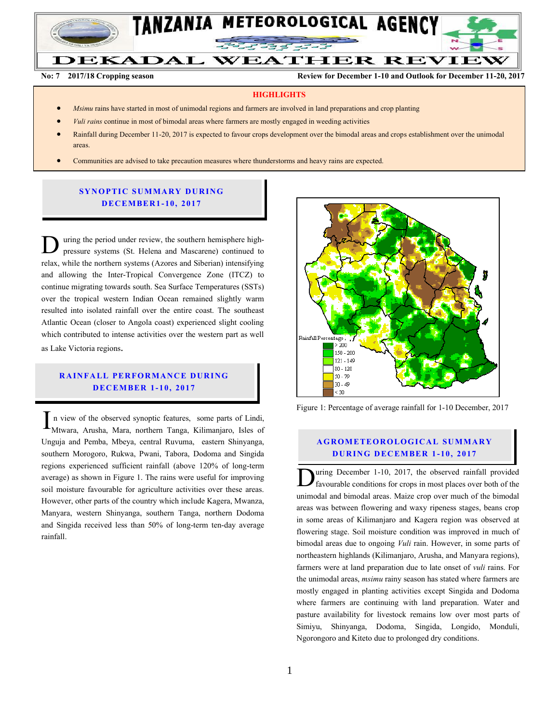

**No. 7 2017/2018 Cropping season Review for December 1-10, 2017 and Outlook for December 11-10, 2017**

**No: 7 2017/18 Cropping season Review for December 1-10 and Outlook for December 11-20, 2017**

#### **HIGHLIGHTS**

DEKADAL WEATHER REVIEW

- *Msimu* rains have started in most of unimodal regions and farmers are involved in land preparations and crop planting
- *Vuli rains* continue in most of bimodal areas where farmers are mostly engaged in weeding activities
- Rainfall during December 11-20, 2017 is expected to favour crops development over the bimodal areas and crops establishment over the unimodal areas.
- Communities are advised to take precaution measures where thunderstorms and heavy rains are expected.

#### **SYNOPTIC SUMMARY DURING D EC EMBER 1 - 10, 2017**

uring the period under review, the southern hemisphere highpressure systems (St. Helena and Mascarene) continued to relax, while the northern systems (Azores and Siberian) intensifying and allowing the Inter-Tropical Convergence Zone (ITCZ) to continue migrating towards south. Sea Surface Temperatures (SSTs) over the tropical western Indian Ocean remained slightly warm resulted into isolated rainfall over the entire coast. The southeast Atlantic Ocean (closer to Angola coast) experienced slight cooling which contributed to intense activities over the western part as well as Lake Victoria regions. D

# **RAINFALL PERFORMANCE DURING D EC EMBER 1 - 10, 2017**

n view of the observed synoptic features, some parts of Lindi, In view of the observed synoptic features, some parts of Lindi, Mtwara, Arusha, Mara, northern Tanga, Kilimanjaro, Isles of Unguja and Pemba, Mbeya, central Ruvuma, eastern Shinyanga, southern Morogoro, Rukwa, Pwani, Tabora, Dodoma and Singida regions experienced sufficient rainfall (above 120% of long-term average) as shown in Figure 1. The rains were useful for improving soil moisture favourable for agriculture activities over these areas. However, other parts of the country which include Kagera, Mwanza, Manyara, western Shinyanga, southern Tanga, northern Dodoma and Singida received less than 50% of long-term ten-day average rainfall.



Figure 1: Percentage of average rainfall for 1-10 December, 2017

#### **A G RO METEO R O LOG ICA L SU MMA RY D UR ING D EC EMBER 1 -10, 2017**

uring December 1-10, 2017, the observed rainfall provided favourable conditions for crops in most places over both of the unimodal and bimodal areas. Maize crop over much of the bimodal areas was between flowering and waxy ripeness stages, beans crop in some areas of Kilimanjaro and Kagera region was observed at flowering stage. Soil moisture condition was improved in much of bimodal areas due to ongoing *Vuli* rain. However, in some parts of northeastern highlands (Kilimanjaro, Arusha, and Manyara regions), farmers were at land preparation due to late onset of *vuli* rains. For the unimodal areas, *msimu* rainy season has stated where farmers are mostly engaged in planting activities except Singida and Dodoma where farmers are continuing with land preparation. Water and pasture availability for livestock remains low over most parts of Simiyu, Shinyanga, Dodoma, Singida, Longido, Monduli, Ngorongoro and Kiteto due to prolonged dry conditions.  $\overline{\overline{D}}$